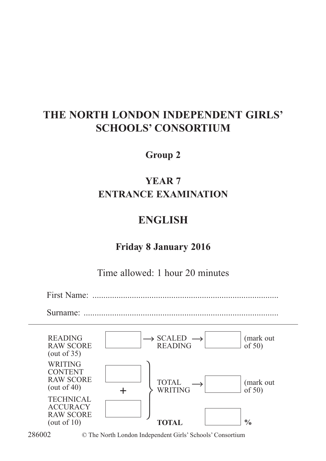## **THE NORTH LONDON INDEPENDENT GIRLS' SCHOOLS' CONSORTIUM**

#### **Group 2**

## **YEAR 7 ENTRANCE EXAMINATION**

## **ENGLISH**

## **Friday 8 January 2016**

Time allowed: 1 hour 20 minutes

First Name: .....................................................................................

Surname: .....................





286002 © The North London Independent Girls' Schools' Consortium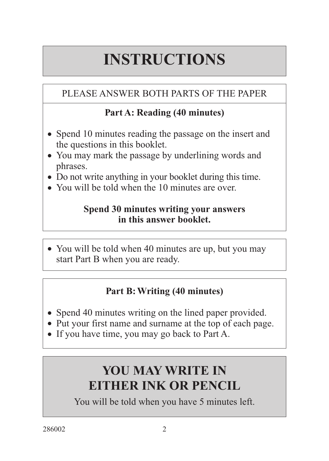# **INSTRUCTIONS**

## PLEASE ANSWER BOTH PARTS OF THE PAPER

## **Part A: Reading (40 minutes)**

- Spend 10 minutes reading the passage on the insert and the questions in this booklet.
- You may mark the passage by underlining words and phrases.
- Do not write anything in your booklet during this time.
- You will be told when the 10 minutes are over.

#### **Spend 30 minutes writing your answers in this answer booklet.**

• You will be told when 40 minutes are up, but you may start Part B when you are ready.

## **Part B:Writing (40 minutes)**

- Spend 40 minutes writing on the lined paper provided.
- Put your first name and surname at the top of each page.
- If you have time, you may go back to Part A.

## **YOU MAY WRITE IN EITHER INK OR PENCIL**

You will be told when you have 5 minutes left.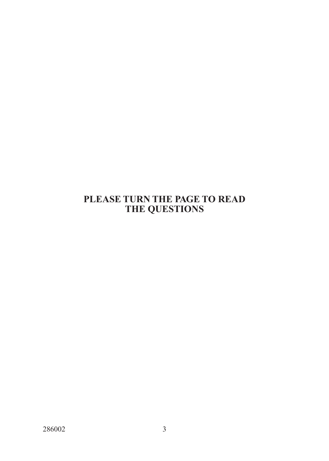#### **PLEASE TURN THE PAGE TO READ THE QUESTIONS**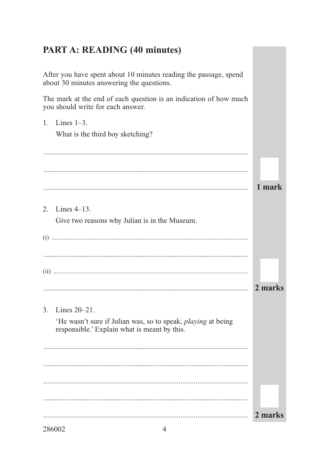### **PART A: READING (40 minutes)**

After you have spent about 10 minutes reading the passage, spend about 30 minutes answering the questions.

The mark at the end of each question is an indication of how much you should write for each answer.

1. Lines  $1-3$ . What is the third boy sketching? 1 mark 2. Lines 4–13. Give two reasons why Julian is in the Museum. 2 marks . . . . . . . . . . . . . . . . . 3. Lines  $20 - 21$ . 'He wasn't sure if Julian was, so to speak, *playing* at being responsible.' Explain what is meant by this. 2 marks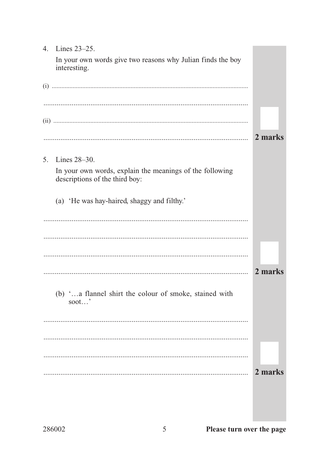| 4. | Lines 23-25.                                                                               |         |
|----|--------------------------------------------------------------------------------------------|---------|
|    | In your own words give two reasons why Julian finds the boy<br>interesting.                |         |
|    |                                                                                            |         |
|    |                                                                                            |         |
|    |                                                                                            |         |
|    |                                                                                            |         |
|    |                                                                                            | 2 marks |
| 5. | Lines $28-30$ .                                                                            |         |
|    | In your own words, explain the meanings of the following<br>descriptions of the third boy: |         |
|    | (a) 'He was hay-haired, shaggy and filthy.'                                                |         |
|    |                                                                                            |         |
|    |                                                                                            |         |
|    |                                                                                            |         |
|    |                                                                                            | 2 marks |
|    | (b) 'a flannel shirt the colour of smoke, stained with<br>soot'                            |         |
|    |                                                                                            |         |
|    |                                                                                            |         |
|    |                                                                                            |         |
|    |                                                                                            | 2 marks |
|    |                                                                                            |         |
|    |                                                                                            |         |
|    |                                                                                            |         |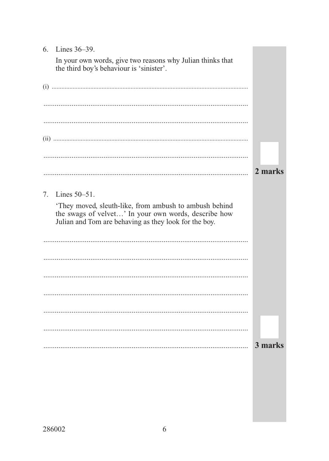| Lines $36-39$ .<br>6.                                                                                                                                                  |         |
|------------------------------------------------------------------------------------------------------------------------------------------------------------------------|---------|
| In your own words, give two reasons why Julian thinks that<br>the third boy's behaviour is 'sinister'.                                                                 |         |
|                                                                                                                                                                        |         |
|                                                                                                                                                                        |         |
|                                                                                                                                                                        |         |
|                                                                                                                                                                        |         |
|                                                                                                                                                                        |         |
|                                                                                                                                                                        | 2 marks |
| Lines $50-51$ .<br>7.                                                                                                                                                  |         |
| They moved, sleuth-like, from ambush to ambush behind<br>the swags of velvet' In your own words, describe how<br>Julian and Tom are behaving as they look for the boy. |         |
|                                                                                                                                                                        |         |
|                                                                                                                                                                        |         |
|                                                                                                                                                                        |         |
|                                                                                                                                                                        |         |
|                                                                                                                                                                        |         |
|                                                                                                                                                                        |         |
|                                                                                                                                                                        | 3 marks |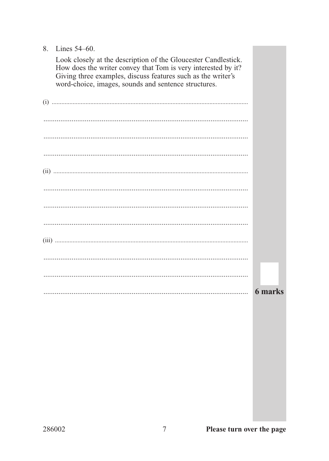#### 8. Lines 54–60.

| Look closely at the description of the Gloucester Candlestick.<br>How does the writer convey that Tom is very interested by it?<br>Giving three examples, discuss features such as the writer's<br>word-choice, images, sounds and sentence structures. |                |
|---------------------------------------------------------------------------------------------------------------------------------------------------------------------------------------------------------------------------------------------------------|----------------|
|                                                                                                                                                                                                                                                         |                |
|                                                                                                                                                                                                                                                         |                |
|                                                                                                                                                                                                                                                         |                |
|                                                                                                                                                                                                                                                         |                |
|                                                                                                                                                                                                                                                         |                |
|                                                                                                                                                                                                                                                         |                |
|                                                                                                                                                                                                                                                         |                |
|                                                                                                                                                                                                                                                         |                |
|                                                                                                                                                                                                                                                         |                |
|                                                                                                                                                                                                                                                         |                |
|                                                                                                                                                                                                                                                         |                |
|                                                                                                                                                                                                                                                         | <b>6</b> marks |

**The Common**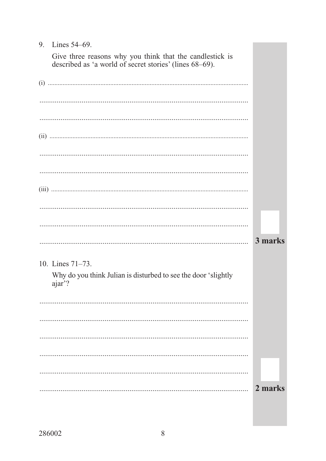#### 9. Lines 54–69.

Give three reasons why you think that the candlestick is described as 'a world of secret stories' (lines 68–69).

|                                                                          | 3 marks |
|--------------------------------------------------------------------------|---------|
| 10. Lines $71-73$ .                                                      |         |
| Why do you think Julian is disturbed to see the door 'slightly<br>ajar'? |         |
|                                                                          |         |
|                                                                          |         |
|                                                                          |         |
|                                                                          |         |
|                                                                          |         |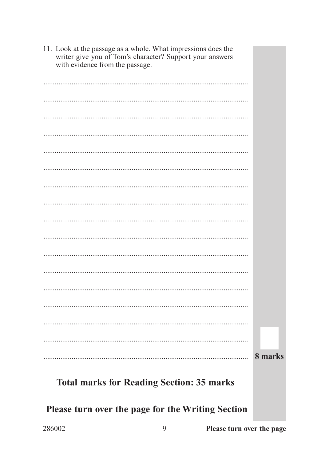| 11. Look at the passage as a whole. What impressions does the<br>writer give you of Tom's character? Support your answers<br>with evidence from the passage. |         |
|--------------------------------------------------------------------------------------------------------------------------------------------------------------|---------|
|                                                                                                                                                              |         |
|                                                                                                                                                              |         |
|                                                                                                                                                              |         |
|                                                                                                                                                              |         |
|                                                                                                                                                              |         |
|                                                                                                                                                              |         |
|                                                                                                                                                              |         |
|                                                                                                                                                              |         |
|                                                                                                                                                              |         |
|                                                                                                                                                              |         |
|                                                                                                                                                              |         |
|                                                                                                                                                              |         |
|                                                                                                                                                              |         |
|                                                                                                                                                              |         |
|                                                                                                                                                              |         |
|                                                                                                                                                              |         |
|                                                                                                                                                              | 8 marks |
| <b>Total marks for Reading Section: 35 marks</b>                                                                                                             |         |

Please turn over the page for the Writing Section